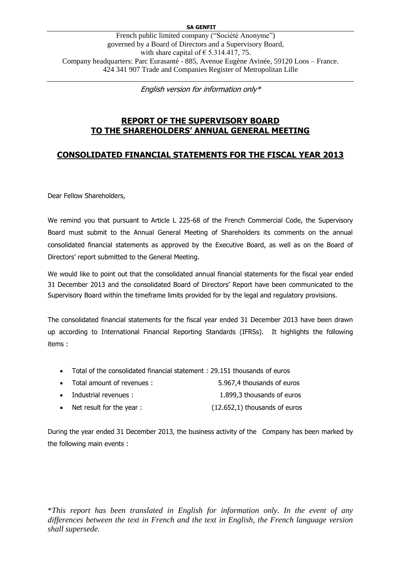English version for information only\*

# **REPORT OF THE SUPERVISORY BOARD TO THE SHAREHOLDERS' ANNUAL GENERAL MEETING**

# **CONSOLIDATED FINANCIAL STATEMENTS FOR THE FISCAL YEAR 2013**

Dear Fellow Shareholders,

We remind you that pursuant to Article L 225-68 of the French Commercial Code, the Supervisory Board must submit to the Annual General Meeting of Shareholders its comments on the annual consolidated financial statements as approved by the Executive Board, as well as on the Board of Directors' report submitted to the General Meeting.

We would like to point out that the consolidated annual financial statements for the fiscal year ended 31 December 2013 and the consolidated Board of Directors' Report have been communicated to the Supervisory Board within the timeframe limits provided for by the legal and regulatory provisions.

The consolidated financial statements for the fiscal year ended 31 December 2013 have been drawn up according to International Financial Reporting Standards (IFRSs). It highlights the following items :

- Total of the consolidated financial statement : 29.151 thousands of euros
- Total amount of revenues : 5.967,4 thousands of euros
- Industrial revenues : 1.899,3 thousands of euros
- Net result for the year : (12.652,1) thousands of euros

During the year ended 31 December 2013, the business activity of the Company has been marked by the following main events :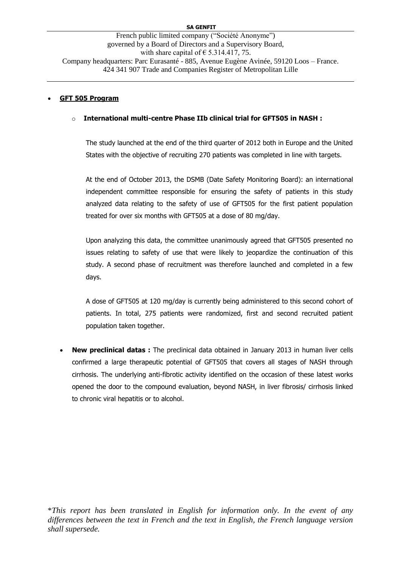## **GFT 505 Program**

#### o **International multi-centre Phase IIb clinical trial for GFT505 in NASH :**

The study launched at the end of the third quarter of 2012 both in Europe and the United States with the objective of recruiting 270 patients was completed in line with targets.

At the end of October 2013, the DSMB (Date Safety Monitoring Board): an international independent committee responsible for ensuring the safety of patients in this study analyzed data relating to the safety of use of GFT505 for the first patient population treated for over six months with GFT505 at a dose of 80 mg/day.

Upon analyzing this data, the committee unanimously agreed that GFT505 presented no issues relating to safety of use that were likely to jeopardize the continuation of this study. A second phase of recruitment was therefore launched and completed in a few days.

A dose of GFT505 at 120 mg/day is currently being administered to this second cohort of patients. In total, 275 patients were randomized, first and second recruited patient population taken together.

 **New preclinical datas :** The preclinical data obtained in January 2013 in human liver cells confirmed a large therapeutic potential of GFT505 that covers all stages of NASH through cirrhosis. The underlying anti-fibrotic activity identified on the occasion of these latest works opened the door to the compound evaluation, beyond NASH, in liver fibrosis/ cirrhosis linked to chronic viral hepatitis or to alcohol.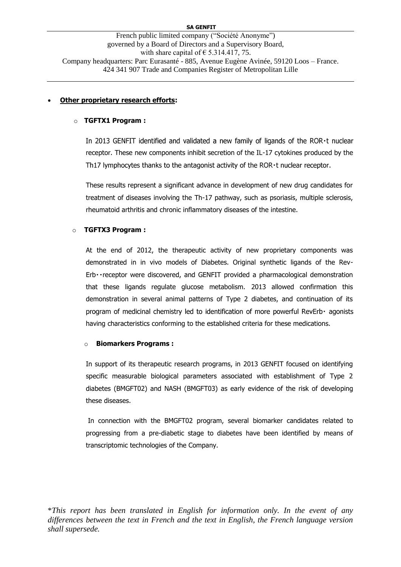French public limited company ("Société Anonyme") governed by a Board of Directors and a Supervisory Board, with share capital of  $\epsilon$  5.314.417, 75. Company headquarters: Parc Eurasanté - 885, Avenue Eugène Avinée, 59120 Loos – France. 424 341 907 Trade and Companies Register of Metropolitan Lille

#### **Other proprietary research efforts:**

#### o **TGFTX1 Program :**

In 2013 GENFIT identified and validated a new family of ligands of the ROR · t nuclear receptor. These new components inhibit secretion of the IL-17 cytokines produced by the Th17 lymphocytes thanks to the antagonist activity of the ROR · t nuclear receptor.

These results represent a significant advance in development of new drug candidates for treatment of diseases involving the Th-17 pathway, such as psoriasis, multiple sclerosis, rheumatoid arthritis and chronic inflammatory diseases of the intestine.

#### o **TGFTX3 Program :**

At the end of 2012, the therapeutic activity of new proprietary components was demonstrated in in vivo models of Diabetes. Original synthetic ligands of the Rev-Erb · receptor were discovered, and GENFIT provided a pharmacological demonstration that these ligands regulate glucose metabolism. 2013 allowed confirmation this demonstration in several animal patterns of Type 2 diabetes, and continuation of its program of medicinal chemistry led to identification of more powerful RevErb agonists having characteristics conforming to the established criteria for these medications.

#### o **Biomarkers Programs :**

In support of its therapeutic research programs, in 2013 GENFIT focused on identifying specific measurable biological parameters associated with establishment of Type 2 diabetes (BMGFT02) and NASH (BMGFT03) as early evidence of the risk of developing these diseases.

In connection with the BMGFT02 program, several biomarker candidates related to progressing from a pre-diabetic stage to diabetes have been identified by means of transcriptomic technologies of the Company.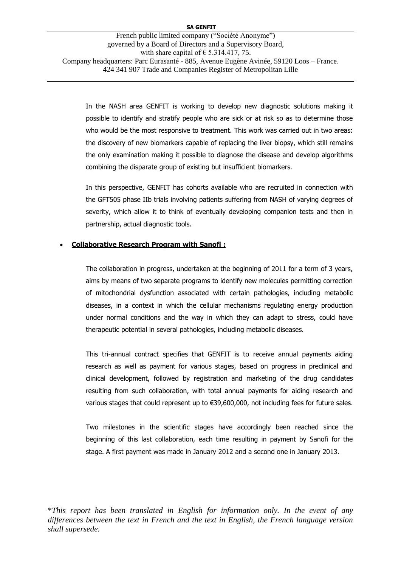In the NASH area GENFIT is working to develop new diagnostic solutions making it possible to identify and stratify people who are sick or at risk so as to determine those who would be the most responsive to treatment. This work was carried out in two areas: the discovery of new biomarkers capable of replacing the liver biopsy, which still remains the only examination making it possible to diagnose the disease and develop algorithms combining the disparate group of existing but insufficient biomarkers.

In this perspective, GENFIT has cohorts available who are recruited in connection with the GFT505 phase IIb trials involving patients suffering from NASH of varying degrees of severity, which allow it to think of eventually developing companion tests and then in partnership, actual diagnostic tools.

### **Collaborative Research Program with Sanofi :**

The collaboration in progress, undertaken at the beginning of 2011 for a term of 3 years, aims by means of two separate programs to identify new molecules permitting correction of mitochondrial dysfunction associated with certain pathologies, including metabolic diseases, in a context in which the cellular mechanisms regulating energy production under normal conditions and the way in which they can adapt to stress, could have therapeutic potential in several pathologies, including metabolic diseases.

This tri-annual contract specifies that GENFIT is to receive annual payments aiding research as well as payment for various stages, based on progress in preclinical and clinical development, followed by registration and marketing of the drug candidates resulting from such collaboration, with total annual payments for aiding research and various stages that could represent up to €39,600,000, not including fees for future sales.

Two milestones in the scientific stages have accordingly been reached since the beginning of this last collaboration, each time resulting in payment by Sanofi for the stage. A first payment was made in January 2012 and a second one in January 2013.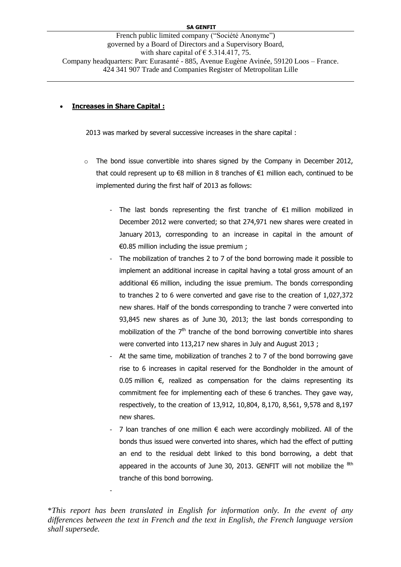French public limited company ("Société Anonyme") governed by a Board of Directors and a Supervisory Board, with share capital of  $\epsilon$  5.314.417, 75. Company headquarters: Parc Eurasanté - 885, Avenue Eugène Avinée, 59120 Loos – France. 424 341 907 Trade and Companies Register of Metropolitan Lille

#### **Increases in Share Capital :**

-

2013 was marked by several successive increases in the share capital :

- $\circ$  The bond issue convertible into shares signed by the Company in December 2012, that could represent up to  $\epsilon$ 8 million in 8 tranches of  $\epsilon$ 1 million each, continued to be implemented during the first half of 2013 as follows:
	- The last bonds representing the first tranche of €1 million mobilized in December 2012 were converted; so that 274,971 new shares were created in January 2013, corresponding to an increase in capital in the amount of €0.85 million including the issue premium ;
	- The mobilization of tranches 2 to 7 of the bond borrowing made it possible to implement an additional increase in capital having a total gross amount of an additional €6 million, including the issue premium. The bonds corresponding to tranches 2 to 6 were converted and gave rise to the creation of 1,027,372 new shares. Half of the bonds corresponding to tranche 7 were converted into 93,845 new shares as of June 30, 2013; the last bonds corresponding to mobilization of the  $7<sup>th</sup>$  tranche of the bond borrowing convertible into shares were converted into 113,217 new shares in July and August 2013 ;
	- At the same time, mobilization of tranches 2 to 7 of the bond borrowing gave rise to 6 increases in capital reserved for the Bondholder in the amount of 0.05 million  $€$ , realized as compensation for the claims representing its commitment fee for implementing each of these 6 tranches. They gave way, respectively, to the creation of 13,912, 10,804, 8,170, 8,561, 9,578 and 8,197 new shares.
	- 7 loan tranches of one million  $\epsilon$  each were accordingly mobilized. All of the bonds thus issued were converted into shares, which had the effect of putting an end to the residual debt linked to this bond borrowing, a debt that appeared in the accounts of June 30, 2013. GENFIT will not mobilize the  $8th$ tranche of this bond borrowing.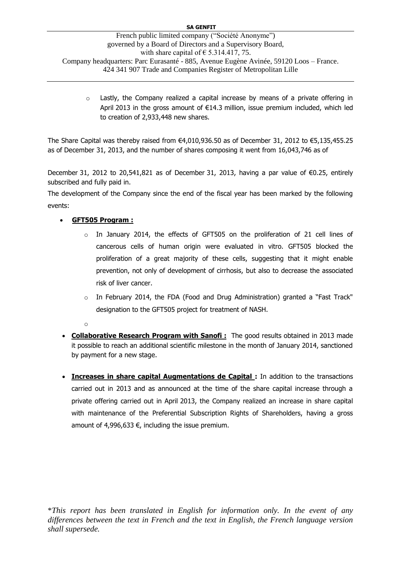$\circ$  Lastly, the Company realized a capital increase by means of a private offering in April 2013 in the gross amount of €14.3 million, issue premium included, which led to creation of 2,933,448 new shares.

The Share Capital was thereby raised from €4,010,936.50 as of December 31, 2012 to €5,135,455.25 as of December 31, 2013, and the number of shares composing it went from 16,043,746 as of

December 31, 2012 to 20,541,821 as of December 31, 2013, having a par value of €0.25, entirely subscribed and fully paid in.

The development of the Company since the end of the fiscal year has been marked by the following events:

## **GFT505 Program :**

- $\circ$  In January 2014, the effects of GFT505 on the proliferation of 21 cell lines of cancerous cells of human origin were evaluated in vitro. GFT505 blocked the proliferation of a great majority of these cells, suggesting that it might enable prevention, not only of development of cirrhosis, but also to decrease the associated risk of liver cancer.
- o In February 2014, the FDA (Food and Drug Administration) granted a "Fast Track" designation to the GFT505 project for treatment of NASH.
- o
- **Collaborative Research Program with Sanofi :** The good results obtained in 2013 made it possible to reach an additional scientific milestone in the month of January 2014, sanctioned by payment for a new stage.
- **Increases in share capital Augmentations de Capital :** In addition to the transactions carried out in 2013 and as announced at the time of the share capital increase through a private offering carried out in April 2013, the Company realized an increase in share capital with maintenance of the Preferential Subscription Rights of Shareholders, having a gross amount of 4,996,633  $\epsilon$ , including the issue premium.